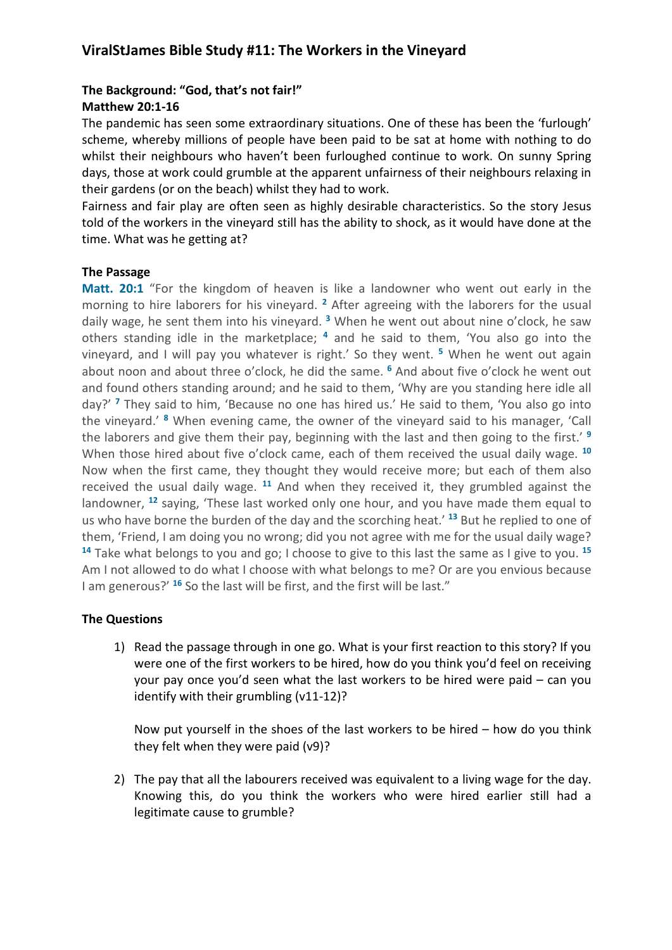# **ViralStJames Bible Study #11: The Workers in the Vineyard**

### **The Background: "God, that's not fair!" Matthew 20:1-16**

The pandemic has seen some extraordinary situations. One of these has been the 'furlough' scheme, whereby millions of people have been paid to be sat at home with nothing to do whilst their neighbours who haven't been furloughed continue to work. On sunny Spring days, those at work could grumble at the apparent unfairness of their neighbours relaxing in their gardens (or on the beach) whilst they had to work.

Fairness and fair play are often seen as highly desirable characteristics. So the story Jesus told of the workers in the vineyard still has the ability to shock, as it would have done at the time. What was he getting at?

#### **The Passage**

**Matt. 20:1** "For the kingdom of heaven is like a landowner who went out early in the morning to hire laborers for his vineyard. **<sup>2</sup>** After agreeing with the laborers for the usual daily wage, he sent them into his vineyard. **<sup>3</sup>** When he went out about nine o'clock, he saw others standing idle in the marketplace; **<sup>4</sup>** and he said to them, 'You also go into the vineyard, and I will pay you whatever is right.' So they went. **<sup>5</sup>** When he went out again about noon and about three o'clock, he did the same. **<sup>6</sup>** And about five o'clock he went out and found others standing around; and he said to them, 'Why are you standing here idle all day?' **<sup>7</sup>** They said to him, 'Because no one has hired us.' He said to them, 'You also go into the vineyard.' **<sup>8</sup>** When evening came, the owner of the vineyard said to his manager, 'Call the laborers and give them their pay, beginning with the last and then going to the first.' **<sup>9</sup>** When those hired about five o'clock came, each of them received the usual daily wage. **<sup>10</sup>** Now when the first came, they thought they would receive more; but each of them also received the usual daily wage. **<sup>11</sup>** And when they received it, they grumbled against the landowner, **<sup>12</sup>** saying, 'These last worked only one hour, and you have made them equal to us who have borne the burden of the day and the scorching heat.' **<sup>13</sup>** But he replied to one of them, 'Friend, I am doing you no wrong; did you not agree with me for the usual daily wage? **<sup>14</sup>** Take what belongs to you and go; I choose to give to this last the same as I give to you. **<sup>15</sup>** Am I not allowed to do what I choose with what belongs to me? Or are you envious because I am generous?' **<sup>16</sup>** So the last will be first, and the first will be last."

### **The Questions**

1) Read the passage through in one go. What is your first reaction to this story? If you were one of the first workers to be hired, how do you think you'd feel on receiving your pay once you'd seen what the last workers to be hired were paid – can you identify with their grumbling (v11-12)?

Now put yourself in the shoes of the last workers to be hired – how do you think they felt when they were paid (v9)?

2) The pay that all the labourers received was equivalent to a living wage for the day. Knowing this, do you think the workers who were hired earlier still had a legitimate cause to grumble?